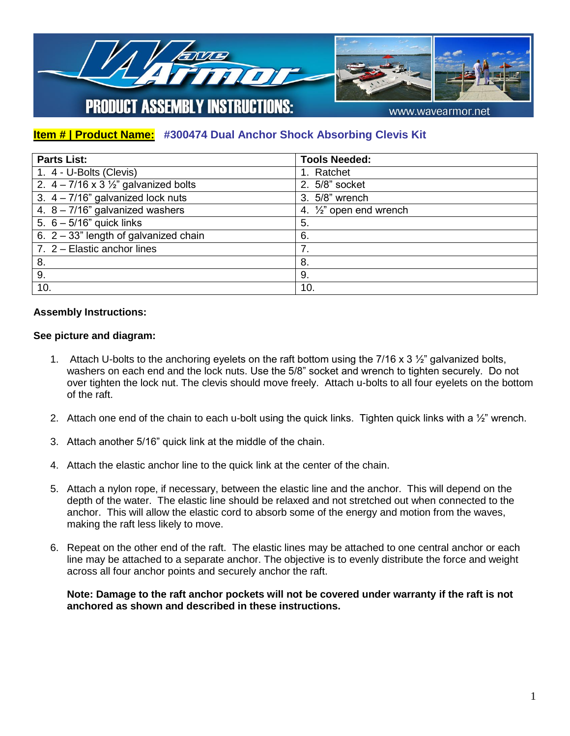

## **Item # | Product Name: #300474 Dual Anchor Shock Absorbing Clevis Kit**

| <b>Parts List:</b>                                 | <b>Tools Needed:</b>             |
|----------------------------------------------------|----------------------------------|
| 1. 4 - U-Bolts (Clevis)                            | 1. Ratchet                       |
| 2. $4 - 7/16 \times 3\frac{1}{2}$ galvanized bolts | 2. 5/8" socket                   |
| 3. $4 - 7/16$ " galvanized lock nuts               | 3. 5/8" wrench                   |
| 4. $8 - 7/16$ " galvanized washers                 | 4. $\frac{1}{2}$ open end wrench |
| 5. $6 - 5/16$ " quick links                        | 5.                               |
| 6. $2 - 33$ " length of galvanized chain           | 6.                               |
| 7. 2 - Elastic anchor lines                        | 7.                               |
| 8.                                                 | 8.                               |
| 9.                                                 | 9.                               |
| 10.                                                | 10.                              |

## **Assembly Instructions:**

## **See picture and diagram:**

- 1. Attach U-bolts to the anchoring eyelets on the raft bottom using the 7/16 x 3  $\frac{1}{2}$ " galvanized bolts, washers on each end and the lock nuts. Use the 5/8" socket and wrench to tighten securely. Do not over tighten the lock nut. The clevis should move freely. Attach u-bolts to all four eyelets on the bottom of the raft.
- 2. Attach one end of the chain to each u-bolt using the quick links. Tighten quick links with a  $\frac{1}{2}$ " wrench.
- 3. Attach another 5/16" quick link at the middle of the chain.
- 4. Attach the elastic anchor line to the quick link at the center of the chain.
- 5. Attach a nylon rope, if necessary, between the elastic line and the anchor. This will depend on the depth of the water. The elastic line should be relaxed and not stretched out when connected to the anchor. This will allow the elastic cord to absorb some of the energy and motion from the waves, making the raft less likely to move.
- 6. Repeat on the other end of the raft. The elastic lines may be attached to one central anchor or each line may be attached to a separate anchor. The objective is to evenly distribute the force and weight across all four anchor points and securely anchor the raft.

**Note: Damage to the raft anchor pockets will not be covered under warranty if the raft is not anchored as shown and described in these instructions.**